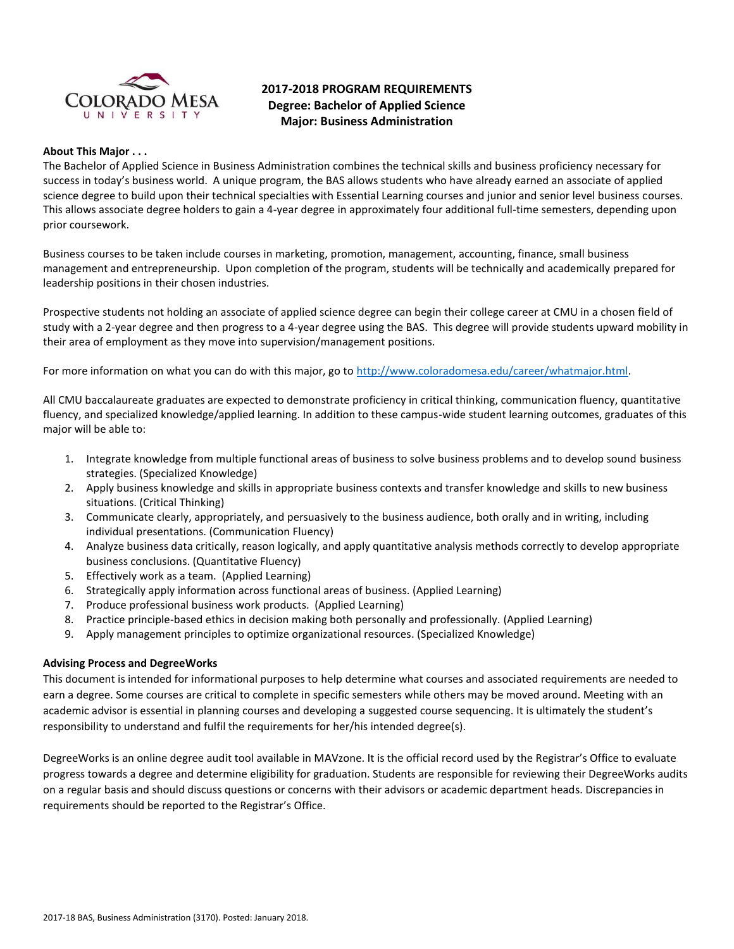

# **2017-2018 PROGRAM REQUIREMENTS Degree: Bachelor of Applied Science Major: Business Administration**

#### **About This Major . . .**

The Bachelor of Applied Science in Business Administration combines the technical skills and business proficiency necessary for success in today's business world. A unique program, the BAS allows students who have already earned an associate of applied science degree to build upon their technical specialties with Essential Learning courses and junior and senior level business courses. This allows associate degree holders to gain a 4-year degree in approximately four additional full-time semesters, depending upon prior coursework.

Business courses to be taken include courses in marketing, promotion, management, accounting, finance, small business management and entrepreneurship. Upon completion of the program, students will be technically and academically prepared for leadership positions in their chosen industries.

Prospective students not holding an associate of applied science degree can begin their college career at CMU in a chosen field of study with a 2-year degree and then progress to a 4-year degree using the BAS. This degree will provide students upward mobility in their area of employment as they move into supervision/management positions.

For more information on what you can do with this major, go to [http://www.coloradomesa.edu/career/whatmajor.html.](http://www.coloradomesa.edu/career/whatmajor.html)

All CMU baccalaureate graduates are expected to demonstrate proficiency in critical thinking, communication fluency, quantitative fluency, and specialized knowledge/applied learning. In addition to these campus-wide student learning outcomes, graduates of this major will be able to:

- 1. Integrate knowledge from multiple functional areas of business to solve business problems and to develop sound business strategies. (Specialized Knowledge)
- 2. Apply business knowledge and skills in appropriate business contexts and transfer knowledge and skills to new business situations. (Critical Thinking)
- 3. Communicate clearly, appropriately, and persuasively to the business audience, both orally and in writing, including individual presentations. (Communication Fluency)
- 4. Analyze business data critically, reason logically, and apply quantitative analysis methods correctly to develop appropriate business conclusions. (Quantitative Fluency)
- 5. Effectively work as a team. (Applied Learning)
- 6. Strategically apply information across functional areas of business. (Applied Learning)
- 7. Produce professional business work products. (Applied Learning)
- 8. Practice principle-based ethics in decision making both personally and professionally. (Applied Learning)
- 9. Apply management principles to optimize organizational resources. (Specialized Knowledge)

#### **Advising Process and DegreeWorks**

This document is intended for informational purposes to help determine what courses and associated requirements are needed to earn a degree. Some courses are critical to complete in specific semesters while others may be moved around. Meeting with an academic advisor is essential in planning courses and developing a suggested course sequencing. It is ultimately the student's responsibility to understand and fulfil the requirements for her/his intended degree(s).

DegreeWorks is an online degree audit tool available in MAVzone. It is the official record used by the Registrar's Office to evaluate progress towards a degree and determine eligibility for graduation. Students are responsible for reviewing their DegreeWorks audits on a regular basis and should discuss questions or concerns with their advisors or academic department heads. Discrepancies in requirements should be reported to the Registrar's Office.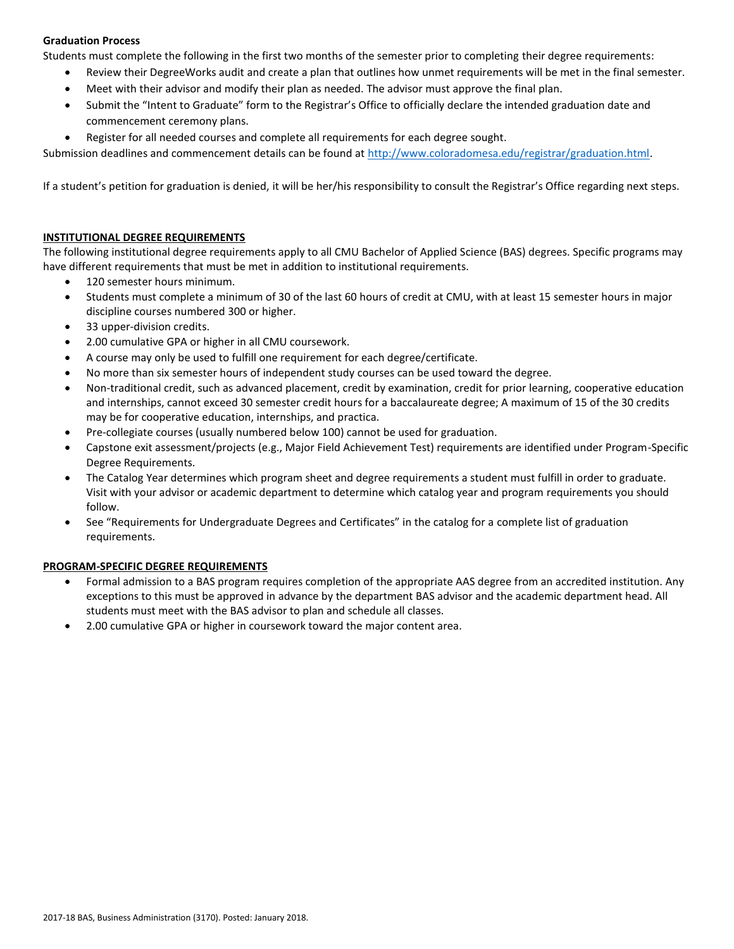# **Graduation Process**

Students must complete the following in the first two months of the semester prior to completing their degree requirements:

- Review their DegreeWorks audit and create a plan that outlines how unmet requirements will be met in the final semester.
- Meet with their advisor and modify their plan as needed. The advisor must approve the final plan.
- Submit the "Intent to Graduate" form to the Registrar's Office to officially declare the intended graduation date and commencement ceremony plans.
- Register for all needed courses and complete all requirements for each degree sought.

Submission deadlines and commencement details can be found at [http://www.coloradomesa.edu/registrar/graduation.html.](http://www.coloradomesa.edu/registrar/graduation.html)

If a student's petition for graduation is denied, it will be her/his responsibility to consult the Registrar's Office regarding next steps.

## **INSTITUTIONAL DEGREE REQUIREMENTS**

The following institutional degree requirements apply to all CMU Bachelor of Applied Science (BAS) degrees. Specific programs may have different requirements that must be met in addition to institutional requirements.

- 120 semester hours minimum.
- Students must complete a minimum of 30 of the last 60 hours of credit at CMU, with at least 15 semester hours in major discipline courses numbered 300 or higher.
- 33 upper-division credits.
- 2.00 cumulative GPA or higher in all CMU coursework.
- A course may only be used to fulfill one requirement for each degree/certificate.
- No more than six semester hours of independent study courses can be used toward the degree.
- Non-traditional credit, such as advanced placement, credit by examination, credit for prior learning, cooperative education and internships, cannot exceed 30 semester credit hours for a baccalaureate degree; A maximum of 15 of the 30 credits may be for cooperative education, internships, and practica.
- Pre-collegiate courses (usually numbered below 100) cannot be used for graduation.
- Capstone exit assessment/projects (e.g., Major Field Achievement Test) requirements are identified under Program-Specific Degree Requirements.
- The Catalog Year determines which program sheet and degree requirements a student must fulfill in order to graduate. Visit with your advisor or academic department to determine which catalog year and program requirements you should follow.
- See "Requirements for Undergraduate Degrees and Certificates" in the catalog for a complete list of graduation requirements.

#### **PROGRAM-SPECIFIC DEGREE REQUIREMENTS**

- Formal admission to a BAS program requires completion of the appropriate AAS degree from an accredited institution. Any exceptions to this must be approved in advance by the department BAS advisor and the academic department head. All students must meet with the BAS advisor to plan and schedule all classes.
- 2.00 cumulative GPA or higher in coursework toward the major content area.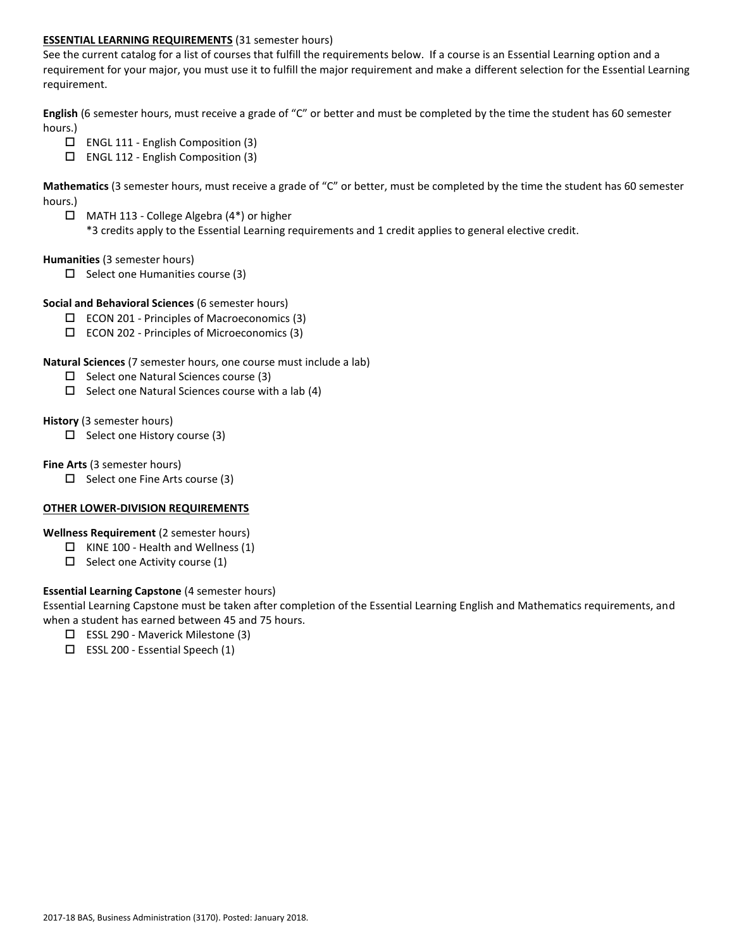## **ESSENTIAL LEARNING REQUIREMENTS** (31 semester hours)

See the current catalog for a list of courses that fulfill the requirements below. If a course is an Essential Learning option and a requirement for your major, you must use it to fulfill the major requirement and make a different selection for the Essential Learning requirement.

**English** (6 semester hours, must receive a grade of "C" or better and must be completed by the time the student has 60 semester hours.)

- ENGL 111 English Composition (3)
- $\square$  ENGL 112 English Composition (3)

**Mathematics** (3 semester hours, must receive a grade of "C" or better, must be completed by the time the student has 60 semester hours.)

 $\Box$  MATH 113 - College Algebra (4\*) or higher \*3 credits apply to the Essential Learning requirements and 1 credit applies to general elective credit.

#### **Humanities** (3 semester hours)

 $\Box$  Select one Humanities course (3)

## **Social and Behavioral Sciences** (6 semester hours)

- $\square$  ECON 201 Principles of Macroeconomics (3)
- $\square$  ECON 202 Principles of Microeconomics (3)

## **Natural Sciences** (7 semester hours, one course must include a lab)

- $\Box$  Select one Natural Sciences course (3)
- $\Box$  Select one Natural Sciences course with a lab (4)

## **History** (3 semester hours)

 $\square$  Select one History course (3)

## **Fine Arts** (3 semester hours)

 $\Box$  Select one Fine Arts course (3)

# **OTHER LOWER-DIVISION REQUIREMENTS**

# **Wellness Requirement** (2 semester hours)

- $\Box$  KINE 100 Health and Wellness (1)
- $\Box$  Select one Activity course (1)

# **Essential Learning Capstone** (4 semester hours)

Essential Learning Capstone must be taken after completion of the Essential Learning English and Mathematics requirements, and when a student has earned between 45 and 75 hours.

- $\Box$  ESSL 290 Maverick Milestone (3)
- $\square$  ESSL 200 Essential Speech (1)